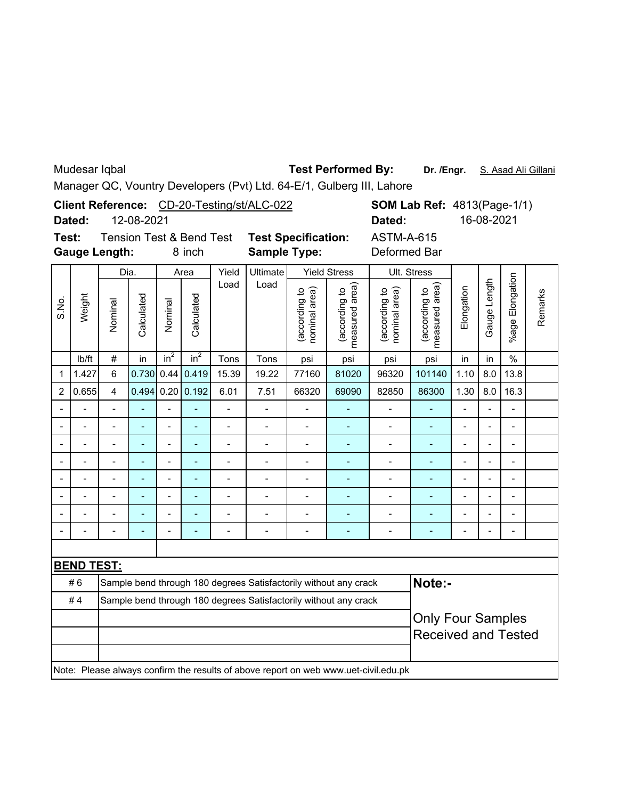Mudesar Iqbal

## **Test Performed By:**

Dr. /Engr. S. Asad Ali Gillani

Manager QC, Vountry Developers (Pvt) Ltd. 64-E/1, Gulberg III, Lahore

| Client Reference: CD-20-Testing/st/ALC-022                                          |                |                                                                  |                                     |                                                                  |                 |                          |                              |                                | <b>SOM Lab Ref: 4813(Page-1/1)</b> |                                |                                 |                          |                |                          |         |  |  |
|-------------------------------------------------------------------------------------|----------------|------------------------------------------------------------------|-------------------------------------|------------------------------------------------------------------|-----------------|--------------------------|------------------------------|--------------------------------|------------------------------------|--------------------------------|---------------------------------|--------------------------|----------------|--------------------------|---------|--|--|
|                                                                                     | Dated:         | 12-08-2021                                                       |                                     |                                                                  |                 |                          |                              |                                |                                    |                                | Dated:                          |                          |                | 16-08-2021               |         |  |  |
| Test:                                                                               |                |                                                                  | <b>Tension Test &amp; Bend Test</b> |                                                                  |                 |                          |                              | <b>Test Specification:</b>     |                                    |                                | <b>ASTM-A-615</b>               |                          |                |                          |         |  |  |
|                                                                                     |                | <b>Gauge Length:</b>                                             |                                     | 8 inch                                                           |                 |                          | <b>Sample Type:</b>          |                                |                                    | Deformed Bar                   |                                 |                          |                |                          |         |  |  |
| S.No.                                                                               | Weight         | Dia.                                                             |                                     | Area                                                             |                 | Yield                    | Ultimate                     | <b>Yield Stress</b>            |                                    | Ult. Stress                    |                                 |                          |                |                          |         |  |  |
|                                                                                     |                | Nominal                                                          | Calculated                          | Nominal                                                          | Calculated      | Load                     | Load                         | (according to<br>nominal area) | measured area)<br>(according to    | nominal area)<br>(according to | (according to<br>measured area) | Elongation               | Gauge Length   | %age Elongation          | Remarks |  |  |
|                                                                                     | lb/ft          | #                                                                | in                                  | $in^2$                                                           | in <sup>2</sup> | Tons                     | Tons                         | psi                            | psi                                | psi                            | psi                             | in                       | in             | $\%$                     |         |  |  |
| 1                                                                                   | 1.427          | 6                                                                | 0.730                               | 0.44                                                             | 0.419           | 15.39                    | 19.22                        | 77160                          | 81020                              | 96320                          | 101140                          | 1.10                     | 8.0            | 13.8                     |         |  |  |
| 2                                                                                   | 0.655          | $\overline{4}$                                                   | 0.494                               |                                                                  | 0.20   0.192    | 6.01                     | 7.51                         | 66320                          | 69090                              | 82850                          | 86300                           | 1.30                     | 8.0            | 16.3                     |         |  |  |
|                                                                                     |                | $\overline{a}$                                                   |                                     | $\overline{a}$                                                   | ÷,              | $\blacksquare$           | $\qquad \qquad \blacksquare$ | -                              |                                    | -                              | $\blacksquare$                  | $\overline{\phantom{0}}$ | $\overline{a}$ | $\overline{\phantom{0}}$ |         |  |  |
|                                                                                     |                | $\overline{a}$                                                   |                                     | $\overline{a}$                                                   | ÷,              | $\overline{\phantom{a}}$ | $\overline{\phantom{0}}$     | $\blacksquare$                 | ÷,                                 | $\overline{\phantom{0}}$       | ÷,                              | $\overline{\phantom{0}}$ | $\blacksquare$ | $\overline{a}$           |         |  |  |
|                                                                                     |                |                                                                  |                                     |                                                                  | L.              | $\blacksquare$           | $\overline{\phantom{0}}$     | L,                             | ä,                                 | $\overline{a}$                 | L,                              |                          |                | $\overline{a}$           |         |  |  |
|                                                                                     | $\overline{a}$ | $\overline{a}$                                                   |                                     | $\overline{a}$                                                   | ä,              | $\overline{\phantom{a}}$ | $\overline{\phantom{0}}$     | $\overline{\phantom{0}}$       |                                    | $\overline{\phantom{0}}$       | ä,                              | $\overline{a}$           | $\overline{a}$ | $\overline{\phantom{a}}$ |         |  |  |
|                                                                                     | $\blacksquare$ | $\overline{\phantom{0}}$                                         |                                     | $\blacksquare$                                                   | ÷,              | $\frac{1}{2}$            | $\overline{a}$               | $\overline{\phantom{0}}$       | ٠                                  | $\overline{\phantom{0}}$       | ÷,                              | $\overline{a}$           | $\overline{a}$ | $\overline{\phantom{a}}$ |         |  |  |
|                                                                                     |                |                                                                  |                                     |                                                                  | ÷               | $\blacksquare$           |                              | $\blacksquare$                 |                                    | $\overline{a}$                 | L,                              |                          |                | $\blacksquare$           |         |  |  |
|                                                                                     |                |                                                                  |                                     | Ĭ.                                                               | L,              | $\overline{a}$           |                              | $\blacksquare$                 |                                    | -                              | ÷,                              | $\overline{a}$           |                | $\overline{a}$           |         |  |  |
|                                                                                     |                |                                                                  |                                     | $\overline{\phantom{0}}$                                         | ÷,              | $\overline{a}$           | $\overline{\phantom{m}}$     | $\overline{\phantom{0}}$       | ۰                                  | $\overline{\phantom{0}}$       | ۰                               |                          |                | $\overline{a}$           |         |  |  |
|                                                                                     |                |                                                                  |                                     |                                                                  |                 |                          |                              |                                |                                    |                                |                                 |                          |                |                          |         |  |  |
| <b>BEND TEST:</b>                                                                   |                |                                                                  |                                     |                                                                  |                 |                          |                              |                                |                                    |                                |                                 |                          |                |                          |         |  |  |
|                                                                                     | #6             |                                                                  |                                     | Sample bend through 180 degrees Satisfactorily without any crack |                 |                          |                              |                                |                                    |                                | Note:-                          |                          |                |                          |         |  |  |
|                                                                                     | #4             | Sample bend through 180 degrees Satisfactorily without any crack |                                     |                                                                  |                 |                          |                              |                                |                                    |                                |                                 | <b>Only Four Samples</b> |                |                          |         |  |  |
|                                                                                     |                |                                                                  |                                     |                                                                  |                 |                          |                              |                                |                                    |                                |                                 |                          |                |                          |         |  |  |
|                                                                                     |                |                                                                  |                                     |                                                                  |                 |                          |                              |                                |                                    |                                | <b>Received and Tested</b>      |                          |                |                          |         |  |  |
| Note: Please always confirm the results of above report on web www.uet-civil.edu.pk |                |                                                                  |                                     |                                                                  |                 |                          |                              |                                |                                    |                                |                                 |                          |                |                          |         |  |  |